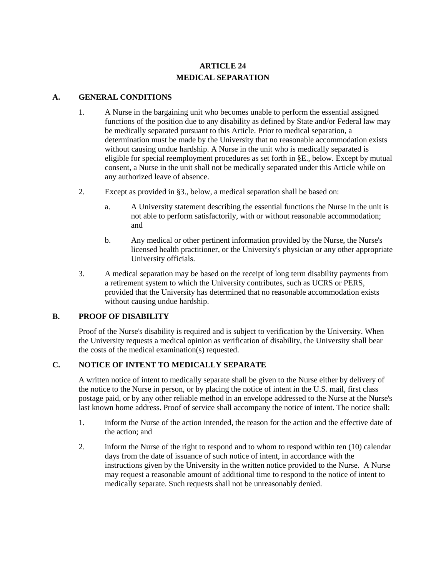# **ARTICLE 24 MEDICAL SEPARATION**

### **A. GENERAL CONDITIONS**

- 1. A Nurse in the bargaining unit who becomes unable to perform the essential assigned functions of the position due to any disability as defined by State and/or Federal law may be medically separated pursuant to this Article. Prior to medical separation, a determination must be made by the University that no reasonable accommodation exists without causing undue hardship. A Nurse in the unit who is medically separated is eligible for special reemployment procedures as set forth in §E., below. Except by mutual consent, a Nurse in the unit shall not be medically separated under this Article while on any authorized leave of absence.
- 2. Except as provided in §3., below, a medical separation shall be based on:
	- a. A University statement describing the essential functions the Nurse in the unit is not able to perform satisfactorily, with or without reasonable accommodation; and
	- b. Any medical or other pertinent information provided by the Nurse, the Nurse's licensed health practitioner, or the University's physician or any other appropriate University officials.
- 3. A medical separation may be based on the receipt of long term disability payments from a retirement system to which the University contributes, such as UCRS or PERS, provided that the University has determined that no reasonable accommodation exists without causing undue hardship.

# **B. PROOF OF DISABILITY**

Proof of the Nurse's disability is required and is subject to verification by the University. When the University requests a medical opinion as verification of disability, the University shall bear the costs of the medical examination(s) requested.

# **C. NOTICE OF INTENT TO MEDICALLY SEPARATE**

A written notice of intent to medically separate shall be given to the Nurse either by delivery of the notice to the Nurse in person, or by placing the notice of intent in the U.S. mail, first class postage paid, or by any other reliable method in an envelope addressed to the Nurse at the Nurse's last known home address. Proof of service shall accompany the notice of intent. The notice shall:

- 1. inform the Nurse of the action intended, the reason for the action and the effective date of the action; and
- 2. inform the Nurse of the right to respond and to whom to respond within ten (10) calendar days from the date of issuance of such notice of intent, in accordance with the instructions given by the University in the written notice provided to the Nurse. A Nurse may request a reasonable amount of additional time to respond to the notice of intent to medically separate. Such requests shall not be unreasonably denied.